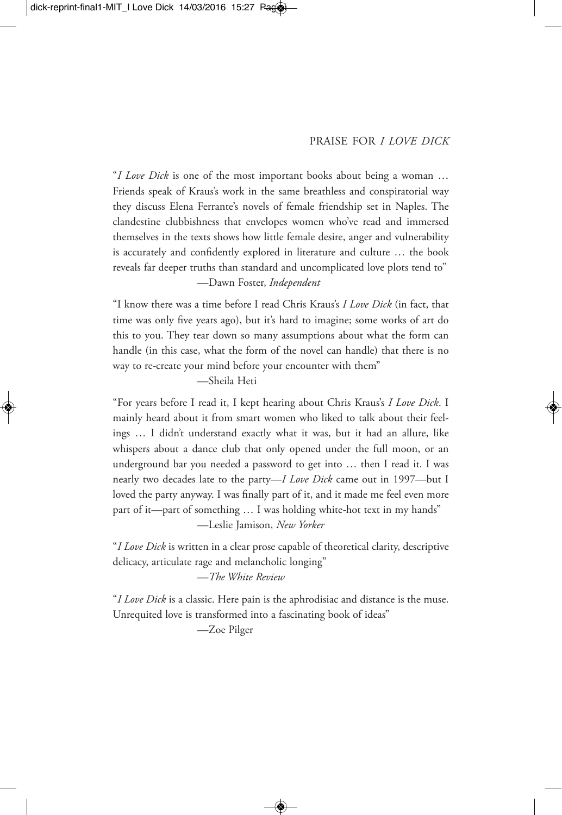"*I Love Dick* is one of the most important books about being a woman … Friends speak of Kraus's work in the same breathless and conspiratorial way they discuss Elena Ferrante's novels of female friendship set in Naples. The clandestine clubbishness that envelopes women who've read and immersed themselves in the texts shows how little female desire, anger and vulnerability is accurately and confidently explored in literature and culture … the book reveals far deeper truths than standard and uncomplicated love plots tend to" —Dawn Foster, *Independent*

"I know there was a time before I read Chris Kraus's *I Love Dick* (in fact, that time was only five years ago), but it's hard to imagine; some works of art do this to you. They tear down so many assumptions about what the form can handle (in this case, what the form of the novel can handle) that there is no way to re-create your mind before your encounter with them"

—Sheila Heti

"For years before I read it, I kept hearing about Chris Kraus's *I Love Dick*. I mainly heard about it from smart women who liked to talk about their feelings … I didn't understand exactly what it was, but it had an allure, like whispers about a dance club that only opened under the full moon, or an underground bar you needed a password to get into … then I read it. I was nearly two decades late to the party—*I Love Dick* came out in 1997—but I loved the party anyway. I was finally part of it, and it made me feel even more part of it—part of something … I was holding white-hot text in my hands" —Leslie Jamison, *New Yorker*

"*I Love Dick* is written in a clear prose capable of theoretical clarity, descriptive delicacy, articulate rage and melancholic longing" —*The White Review*

"*I Love Dick* is a classic. Here pain is the aphrodisiac and distance is the muse. Unrequited love is transformed into a fascinating book of ideas"

—Zoe Pilger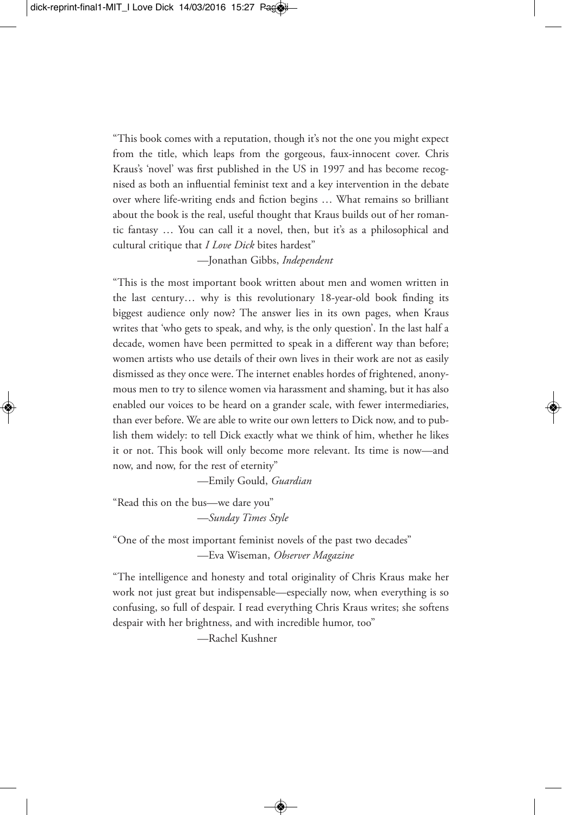"This book comes with a reputation, though it's not the one you might expect from the title, which leaps from the gorgeous, faux-innocent cover. Chris Kraus's 'novel' was first published in the US in 1997 and has become recognised as both an influential feminist text and a key intervention in the debate over where life-writing ends and fiction begins … What remains so brilliant about the book is the real, useful thought that Kraus builds out of her romantic fantasy … You can call it a novel, then, but it's as a philosophical and cultural critique that *I Love Dick* bites hardest"

### —Jonathan Gibbs, *Independent*

"This is the most important book written about men and women written in the last century… why is this revolutionary 18-year-old book finding its biggest audience only now? The answer lies in its own pages, when Kraus writes that 'who gets to speak, and why, is the only question'. In the last half a decade, women have been permitted to speak in a different way than before; women artists who use details of their own lives in their work are not as easily dismissed as they once were. The internet enables hordes of frightened, anonymous men to try to silence women via harassment and shaming, but it has also enabled our voices to be heard on a grander scale, with fewer intermediaries, than ever before. We are able to write our own letters to Dick now, and to publish them widely: to tell Dick exactly what we think of him, whether he likes it or not. This book will only become more relevant. Its time is now—and now, and now, for the rest of eternity"

—Emily Gould, *Guardian*

"Read this on the bus—we dare you"

—*Sunday Times Style*

"One of the most important feminist novels of the past two decades" —Eva Wiseman, *Observer Magazine*

"The intelligence and honesty and total originality of Chris Kraus make her work not just great but indispensable—especially now, when everything is so confusing, so full of despair. I read everything Chris Kraus writes; she softens despair with her brightness, and with incredible humor, too"

—Rachel Kushner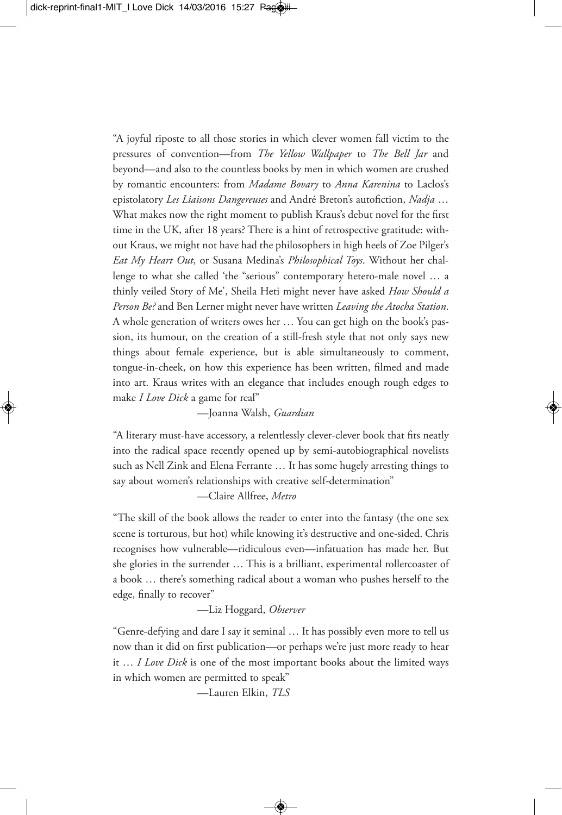"A joyful riposte to all those stories in which clever women fall victim to the pressures of convention—from *The Yellow Wallpaper* to *The Bell Jar* and beyond—and also to the countless books by men in which women are crushed by romantic encounters: from *Madame Bovary* to *Anna Karenina* to Laclos's epistolatory *Les Liaisons Dangereuses* and André Breton's autofiction, *Nadja* … What makes now the right moment to publish Kraus's debut novel for the first time in the UK, after 18 years? There is a hint of retrospective gratitude: without Kraus, we might not have had the philosophers in high heels of Zoe Pilger's *Eat My Heart Out*, or Susana Medina's *Philosophical Toys*. Without her challenge to what she called 'the "serious" contemporary hetero-male novel … a thinly veiled Story of Me', Sheila Heti might never have asked *How Should a Person Be?* and Ben Lerner might never have written *Leaving the Atocha Station*. A whole generation of writers owes her … You can get high on the book's passion, its humour, on the creation of a still-fresh style that not only says new things about female experience, but is able simultaneously to comment, tongue-in-cheek, on how this experience has been written, filmed and made into art. Kraus writes with an elegance that includes enough rough edges to make *I Love Dick* a game for real"

# —Joanna Walsh, *Guardian*

"A literary must-have accessory, a relentlessly clever-clever book that fits neatly into the radical space recently opened up by semi-autobiographical novelists such as Nell Zink and Elena Ferrante … It has some hugely arresting things to say about women's relationships with creative self-determination"

—Claire Allfree, *Metro*

"The skill of the book allows the reader to enter into the fantasy (the one sex scene is torturous, but hot) while knowing it's destructive and one-sided. Chris recognises how vulnerable—ridiculous even—infatuation has made her. But she glories in the surrender … This is a brilliant, experimental rollercoaster of a book … there's something radical about a woman who pushes herself to the edge, finally to recover"

# —Liz Hoggard, *Observer*

"Genre-defying and dare I say it seminal … It has possibly even more to tell us now than it did on first publication—or perhaps we're just more ready to hear it … *I Love Dick* is one of the most important books about the limited ways in which women are permitted to speak"

—Lauren Elkin, *TLS*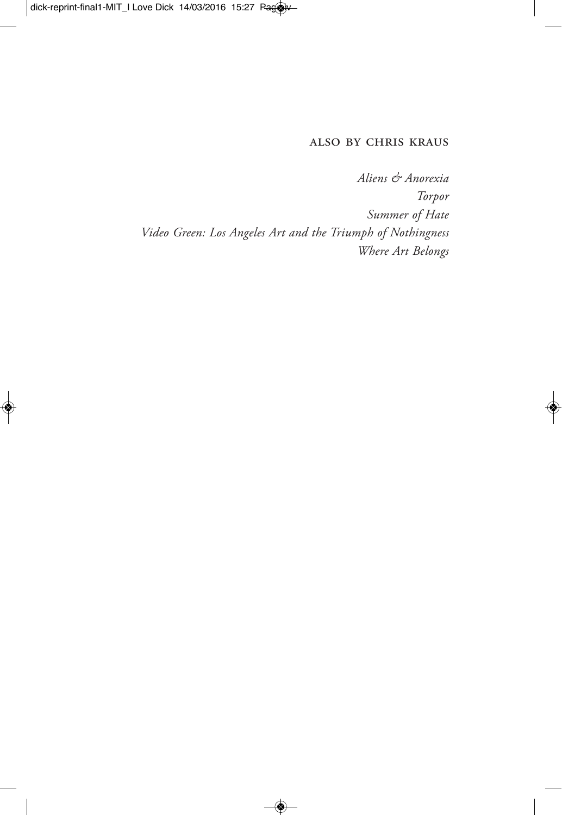# ALSO BY CHRIS KRAUS

*Aliens & Anorexia Torpor Summer of Hate Video Green: Los Angeles Art and the Triumph of Nothingness Where Art Belongs*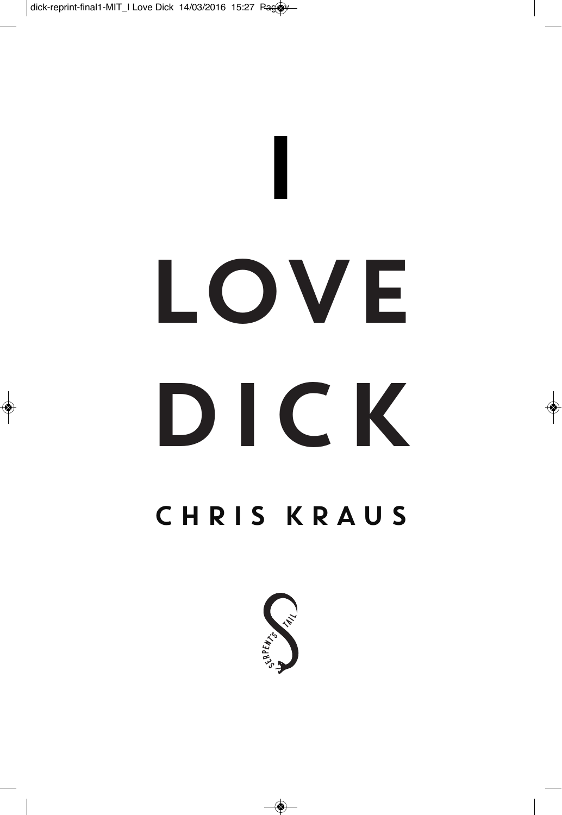# **CHRIS KRAUS I LOVE DICK**

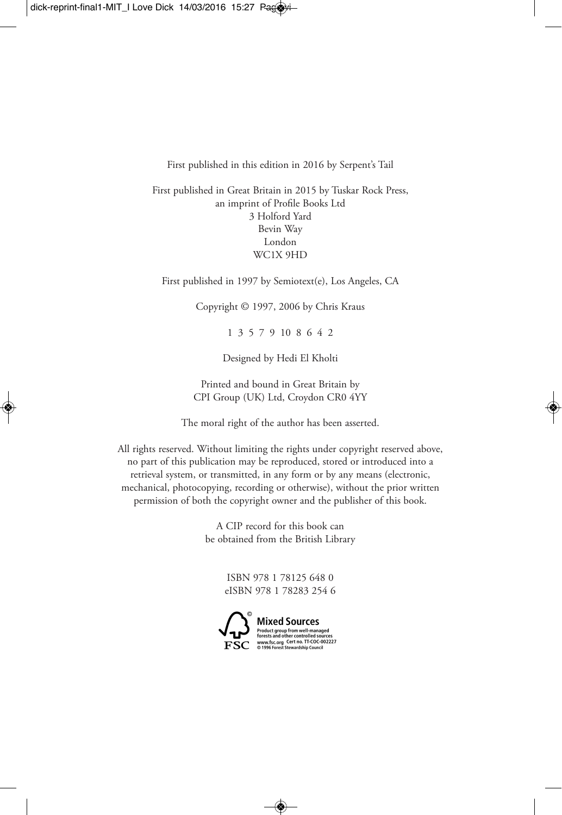First published in this edition in 2016 by Serpent's Tail

First published in Great Britain in 2015 by Tuskar Rock Press, an imprint of Profile Books Ltd 3 Holford Yard Bevin Way London WC1X 9HD

First published in 1997 by Semiotext(e), Los Angeles, CA

Copyright © 1997, 2006 by Chris Kraus

1 3 5 7 9 10 8 6 4 2

Designed by Hedi El Kholti

Printed and bound in Great Britain by CPI Group (UK) Ltd, Croydon CR0 4YY

The moral right of the author has been asserted.

All rights reserved. Without limiting the rights under copyright reserved above, no part of this publication may be reproduced, stored or introduced into a retrieval system, or transmitted, in any form or by any means (electronic, mechanical, photocopying, recording or otherwise), without the prior written permission of both the copyright owner and the publisher of this book.

> A CIP record for this book can be obtained from the British Library

> > ISBN 978 1 78125 648 0 eISBN 978 1 78283 254 6

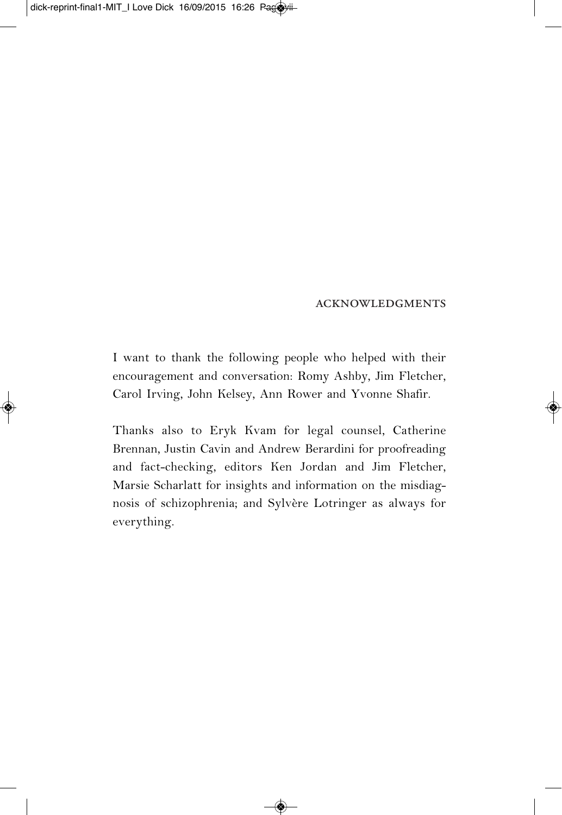# **ACKNOWLEDGMENTS**

I want to thank the following people who helped with their encouragement and conversation: Romy Ashby, Jim Fletcher, Carol Irving, John Kelsey, Ann Rower and Yvonne Shafir.

Thanks also to Eryk Kvam for legal counsel, Catherine Brennan, Justin Cavin and Andrew Berardini for proofreading and fact-checking, editors Ken Jordan and Jim Fletcher, Marsie Scharlatt for insights and information on the misdiagnosis of schizophrenia; and Sylvère Lotringer as always for everything.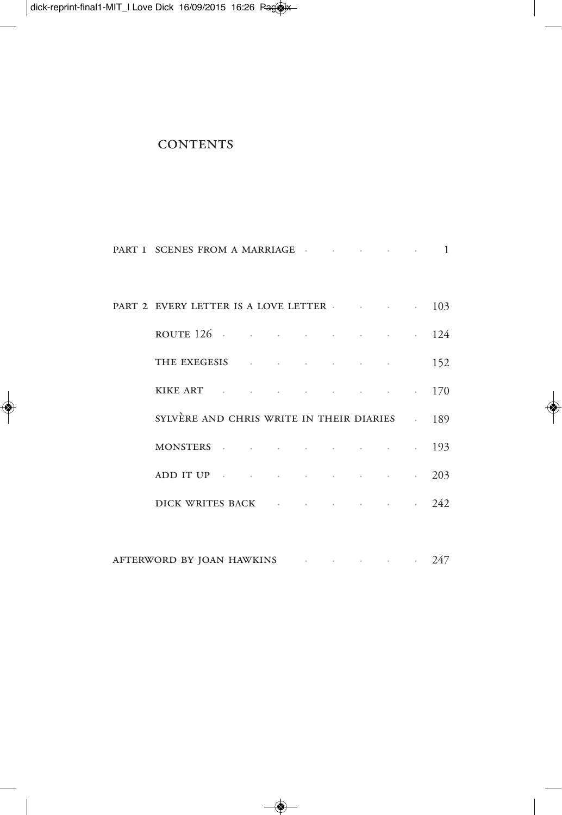# **CONTENTS**

| PART I SCENES FROM A MARRIAGE <b>A SET A</b> 2 and 2 and 2 and 2 and 2 and 2 and 2 and 2 and 2 and 2 and 2 and 2 and 2 and 2 and 2 and 2 and 2 and 2 and 2 and 2 and 2 and 2 and 2 and 2 and 2 and 2 and 2 and 2 and 2 and 2 and 2 |  |  |  |     |
|------------------------------------------------------------------------------------------------------------------------------------------------------------------------------------------------------------------------------------|--|--|--|-----|
|                                                                                                                                                                                                                                    |  |  |  |     |
| PART 2 EVERY LETTER IS A LOVE LETTER $\sim$ 103                                                                                                                                                                                    |  |  |  |     |
| <b>ROUTE</b> $126$ <b>. . . . . . . . . 124</b>                                                                                                                                                                                    |  |  |  |     |
| THE EXEGESIS THE EXERCISE AND THE EXECUTION                                                                                                                                                                                        |  |  |  | 152 |
| KIKE ART $170$                                                                                                                                                                                                                     |  |  |  |     |
| SYLVÈRE AND CHRIS WRITE IN THEIR DIARIES 189                                                                                                                                                                                       |  |  |  |     |
| MONSTERS 193                                                                                                                                                                                                                       |  |  |  |     |
| ADD IT UP A CONSTRUCTION CONTINUES A CONSTRUCTION OF THE CONSTRUCTION OF THE CONSTRUCTION OF THE CONSTRUCTION OF THE CONSTRUCTION OF THE CONSTRUCTION OF THE CONSTRUCTION OF THE CONSTRUCTION OF THE CONSTRUCTION OF THE CONST     |  |  |  | 203 |
| DICK WRITES BACK 242                                                                                                                                                                                                               |  |  |  |     |
|                                                                                                                                                                                                                                    |  |  |  |     |
| AFTERWORD BY JOAN HAWKINS 247                                                                                                                                                                                                      |  |  |  |     |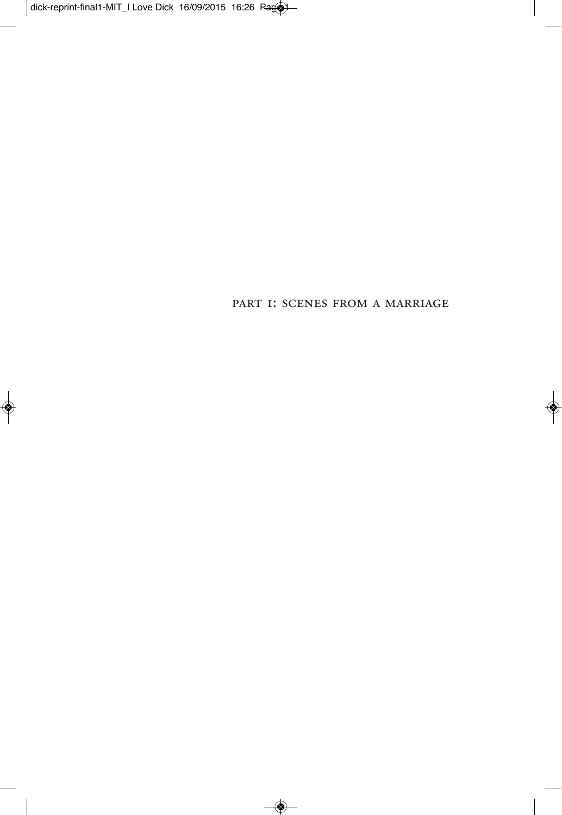PART I: SCENES FROM A MARRIAGE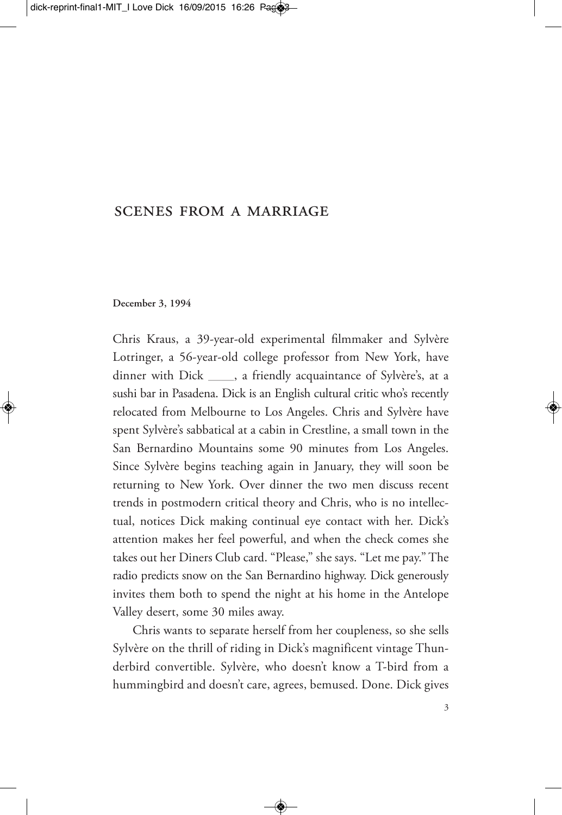# **SCENES FROM A MARRIAGE**

### **December 3, 1994**

Chris Kraus, a 39-year-old experimental filmmaker and Sylvère Lotringer, a 56-year-old college professor from New York, have dinner with Dick ——, a friendly acquaintance of Sylvère's, at a sushi bar in Pasadena. Dick is an English cultural critic who's recently relocated from Melbourne to Los Angeles. Chris and Sylvère have spent Sylvère's sabbatical at a cabin in Crestline, a small town in the San Bernardino Mountains some 90 minutes from Los Angeles. Since Sylvère begins teaching again in January, they will soon be returning to New York. Over dinner the two men discuss recent trends in postmodern critical theory and Chris, who is no intellectual, notices Dick making continual eye contact with her. Dick's attention makes her feel powerful, and when the check comes she takes out her Diners Club card. "Please," she says. "Let me pay." The radio predicts snow on the San Bernardino highway. Dick generously invites them both to spend the night at his home in the Antelope Valley desert, some 30 miles away.

Chris wants to separate herself from her coupleness, so she sells Sylvère on the thrill of riding in Dick's magnificent vintage Thunderbird convertible. Sylvère, who doesn't know a T-bird from a hummingbird and doesn't care, agrees, bemused. Done. Dick gives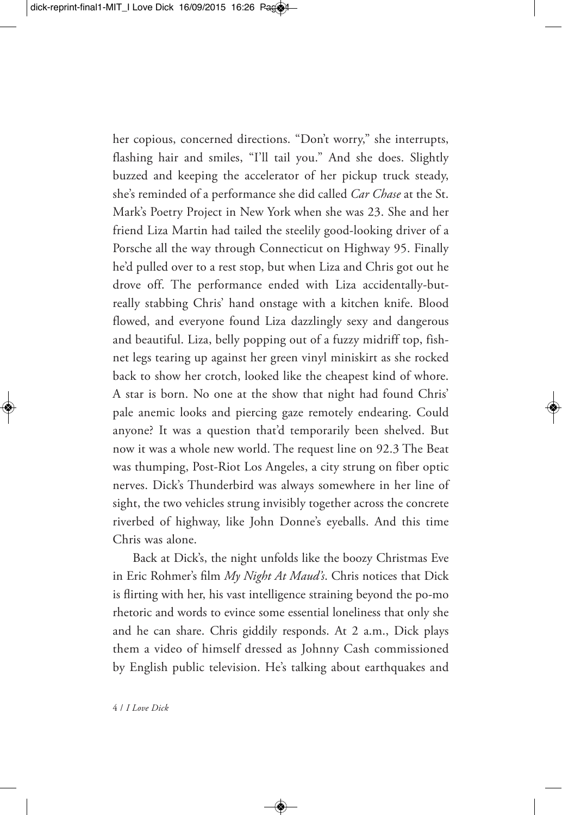her copious, concerned directions. "Don't worry," she interrupts, flashing hair and smiles, "I'll tail you." And she does. Slightly buzzed and keeping the accelerator of her pickup truck steady, she's reminded of a performance she did called *Car Chase* at the St. Mark's Poetry Project in New York when she was 23. She and her friend Liza Martin had tailed the steelily good-looking driver of a Porsche all the way through Connecticut on Highway 95. Finally he'd pulled over to a rest stop, but when Liza and Chris got out he drove off. The performance ended with Liza accidentally-butreally stabbing Chris' hand onstage with a kitchen knife. Blood flowed, and everyone found Liza dazzlingly sexy and dangerous and beautiful. Liza, belly popping out of a fuzzy midriff top, fishnet legs tearing up against her green vinyl miniskirt as she rocked back to show her crotch, looked like the cheapest kind of whore. A star is born. No one at the show that night had found Chris' pale anemic looks and piercing gaze remotely endearing. Could anyone? It was a question that'd temporarily been shelved. But now it was a whole new world. The request line on 92.3 The Beat was thumping, Post-Riot Los Angeles, a city strung on fiber optic nerves. Dick's Thunderbird was always somewhere in her line of sight, the two vehicles strung invisibly together across the concrete riverbed of highway, like John Donne's eyeballs. And this time Chris was alone.

Back at Dick's, the night unfolds like the boozy Christmas Eve in Eric Rohmer's film *My Night At Maud's*. Chris notices that Dick is flirting with her, his vast intelligence straining beyond the po-mo rhetoric and words to evince some essential loneliness that only she and he can share. Chris giddily responds. At 2 a.m., Dick plays them a video of himself dressed as Johnny Cash commissioned by English public television. He's talking about earthquakes and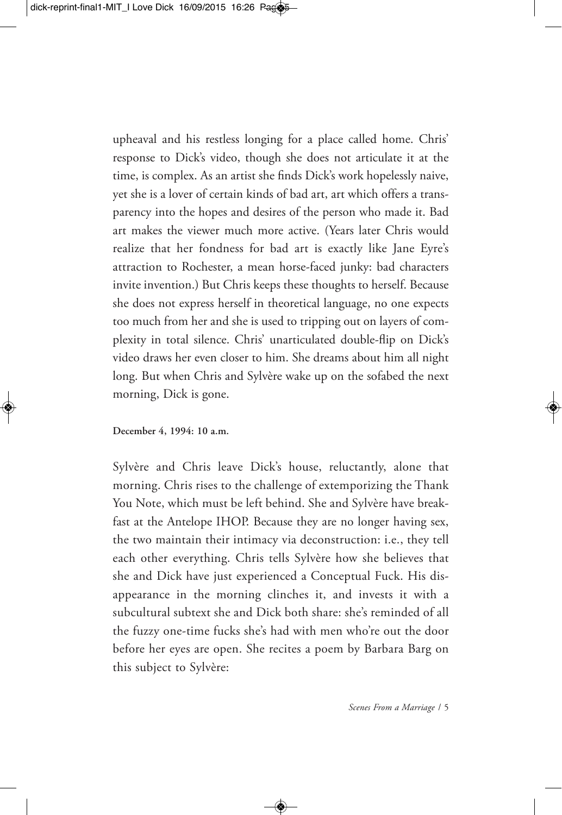upheaval and his restless longing for a place called home. Chris' response to Dick's video, though she does not articulate it at the time, is complex. As an artist she finds Dick's work hopelessly naive, yet she is a lover of certain kinds of bad art, art which offers a transparency into the hopes and desires of the person who made it. Bad art makes the viewer much more active. (Years later Chris would realize that her fondness for bad art is exactly like Jane Eyre's attraction to Rochester, a mean horse-faced junky: bad characters invite invention.) But Chris keeps these thoughts to herself. Because she does not express herself in theoretical language, no one expects too much from her and she is used to tripping out on layers of complexity in total silence. Chris' unarticulated double-flip on Dick's video draws her even closer to him. She dreams about him all night long. But when Chris and Sylvère wake up on the sofabed the next morning, Dick is gone.

# **December 4, 1994: 10 a.m.**

Sylvère and Chris leave Dick's house, reluctantly, alone that morning. Chris rises to the challenge of extemporizing the Thank You Note, which must be left behind. She and Sylvère have breakfast at the Antelope IHOP. Because they are no longer having sex, the two maintain their intimacy via deconstruction: i.e., they tell each other everything. Chris tells Sylvère how she believes that she and Dick have just experienced a Conceptual Fuck. His disappearance in the morning clinches it, and invests it with a subcultural subtext she and Dick both share: she's reminded of all the fuzzy one-time fucks she's had with men who're out the door before her eyes are open. She recites a poem by Barbara Barg on this subject to Sylvère: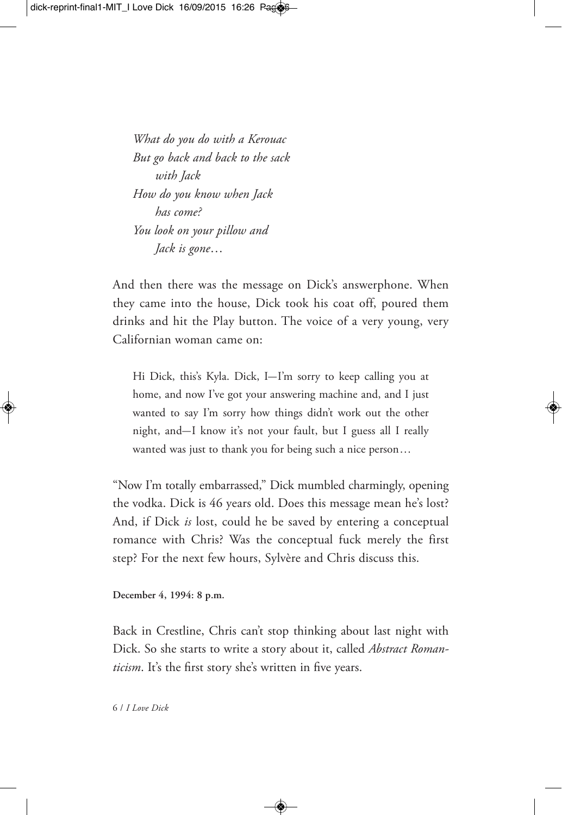*What do you do with a Kerouac But go back and back to the sack with Jack How do you know when Jack has come? You look on your pillow and Jack is gone*…

And then there was the message on Dick's answerphone. When they came into the house, Dick took his coat off, poured them drinks and hit the Play button. The voice of a very young, very Californian woman came on:

Hi Dick, this's Kyla. Dick, I—I'm sorry to keep calling you at home, and now I've got your answering machine and, and I just wanted to say I'm sorry how things didn't work out the other night, and—I know it's not your fault, but I guess all I really wanted was just to thank you for being such a nice person…

"Now I'm totally embarrassed," Dick mumbled charmingly, opening the vodka. Dick is 46 years old. Does this message mean he's lost? And, if Dick *is* lost, could he be saved by entering a conceptual romance with Chris? Was the conceptual fuck merely the first step? For the next few hours, Sylvère and Chris discuss this.

**December 4, 1994: 8 p.m.**

Back in Crestline, Chris can't stop thinking about last night with Dick. So she starts to write a story about it, called *Abstract Romanticism*. It's the first story she's written in five years.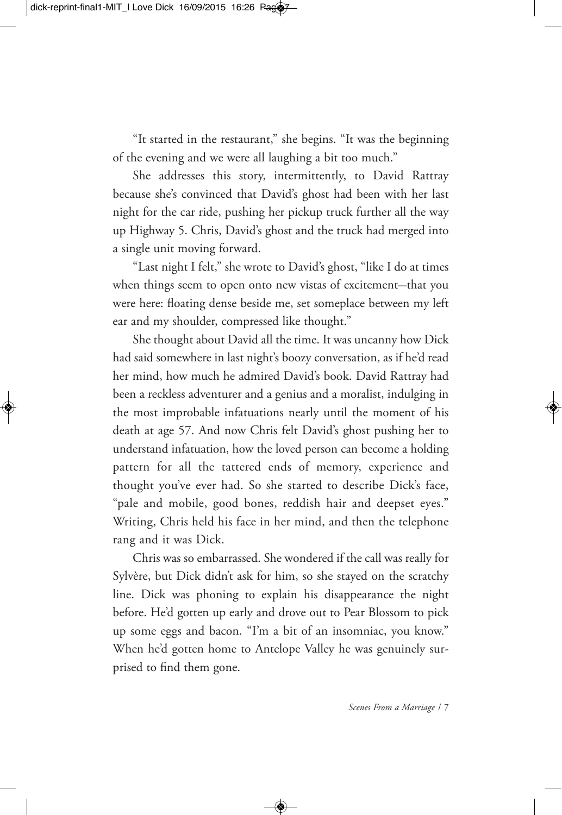"It started in the restaurant," she begins. "It was the beginning of the evening and we were all laughing a bit too much."

She addresses this story, intermittently, to David Rattray because she's convinced that David's ghost had been with her last night for the car ride, pushing her pickup truck further all the way up Highway 5. Chris, David's ghost and the truck had merged into a single unit moving forward.

"Last night I felt," she wrote to David's ghost, "like I do at times when things seem to open onto new vistas of excitement—that you were here: floating dense beside me, set someplace between my left ear and my shoulder, compressed like thought."

She thought about David all the time. It was uncanny how Dick had said somewhere in last night's boozy conversation, as if he'd read her mind, how much he admired David's book. David Rattray had been a reckless adventurer and a genius and a moralist, indulging in the most improbable infatuations nearly until the moment of his death at age 57. And now Chris felt David's ghost pushing her to understand infatuation, how the loved person can become a holding pattern for all the tattered ends of memory, experience and thought you've ever had. So she started to describe Dick's face, "pale and mobile, good bones, reddish hair and deepset eyes." Writing, Chris held his face in her mind, and then the telephone rang and it was Dick.

Chris was so embarrassed. She wondered if the call was really for Sylvère, but Dick didn't ask for him, so she stayed on the scratchy line. Dick was phoning to explain his disappearance the night before. He'd gotten up early and drove out to Pear Blossom to pick up some eggs and bacon. "I'm a bit of an insomniac, you know." When he'd gotten home to Antelope Valley he was genuinely surprised to find them gone.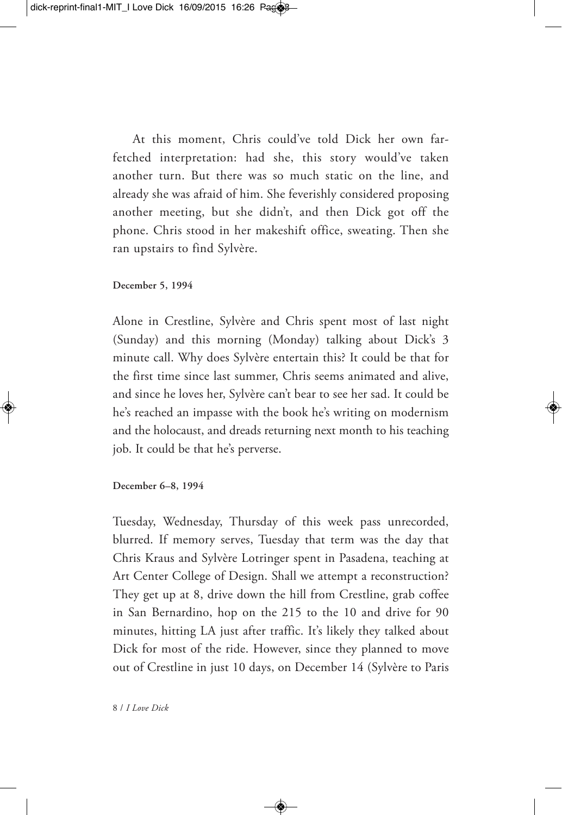At this moment, Chris could've told Dick her own farfetched interpretation: had she, this story would've taken another turn. But there was so much static on the line, and already she was afraid of him. She feverishly considered proposing another meeting, but she didn't, and then Dick got off the phone. Chris stood in her makeshift office, sweating. Then she ran upstairs to find Sylvère.

# **December 5, 1994**

Alone in Crestline, Sylvère and Chris spent most of last night (Sunday) and this morning (Monday) talking about Dick's 3 minute call. Why does Sylvère entertain this? It could be that for the first time since last summer, Chris seems animated and alive, and since he loves her, Sylvère can't bear to see her sad. It could be he's reached an impasse with the book he's writing on modernism and the holocaust, and dreads returning next month to his teaching job. It could be that he's perverse.

**December 6–8, 1994**

Tuesday, Wednesday, Thursday of this week pass unrecorded, blurred. If memory serves, Tuesday that term was the day that Chris Kraus and Sylvère Lotringer spent in Pasadena, teaching at Art Center College of Design. Shall we attempt a reconstruction? They get up at 8, drive down the hill from Crestline, grab coffee in San Bernardino, hop on the 215 to the 10 and drive for 90 minutes, hitting LA just after traffic. It's likely they talked about Dick for most of the ride. However, since they planned to move out of Crestline in just 10 days, on December 14 (Sylvère to Paris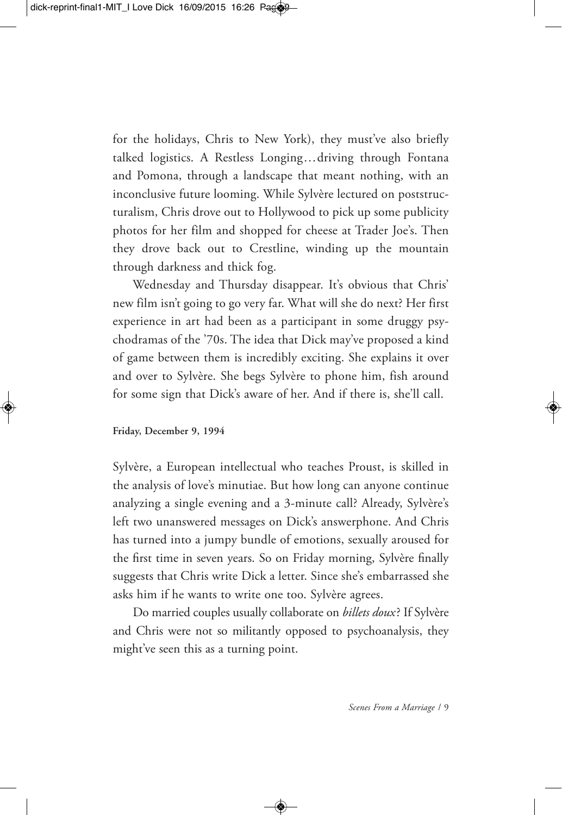for the holidays, Chris to New York), they must've also briefly talked logistics. A Restless Longing…driving through Fontana and Pomona, through a landscape that meant nothing, with an inconclusive future looming. While Sylvère lectured on poststructuralism, Chris drove out to Hollywood to pick up some publicity photos for her film and shopped for cheese at Trader Joe's. Then they drove back out to Crestline, winding up the mountain through darkness and thick fog.

Wednesday and Thursday disappear. It's obvious that Chris' new film isn't going to go very far. What will she do next? Her first experience in art had been as a participant in some druggy psychodramas of the '70s. The idea that Dick may've proposed a kind of game between them is incredibly exciting. She explains it over and over to Sylvère. She begs Sylvère to phone him, fish around for some sign that Dick's aware of her. And if there is, she'll call.

# **Friday, December 9, 1994**

Sylvère, a European intellectual who teaches Proust, is skilled in the analysis of love's minutiae. But how long can anyone continue analyzing a single evening and a 3-minute call? Already, Sylvère's left two unanswered messages on Dick's answerphone. And Chris has turned into a jumpy bundle of emotions, sexually aroused for the first time in seven years. So on Friday morning, Sylvère finally suggests that Chris write Dick a letter. Since she's embarrassed she asks him if he wants to write one too. Sylvère agrees.

Do married couples usually collaborate on *billets doux*? If Sylvère and Chris were not so militantly opposed to psychoanalysis, they might've seen this as a turning point.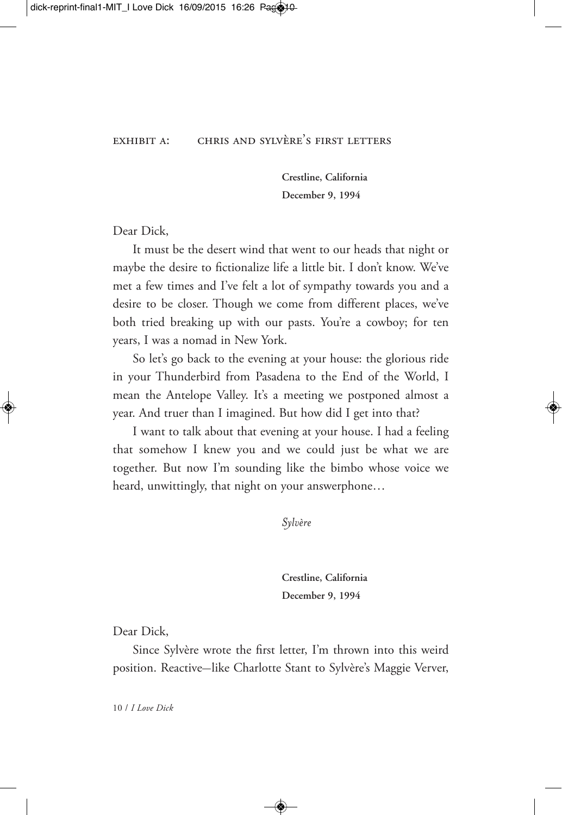# EXHIBIT A: CHRIS AND SYLVERE'S FIRST LETTERS

**Crestline, California December 9, 1994**

Dear Dick,

It must be the desert wind that went to our heads that night or maybe the desire to fictionalize life a little bit. I don't know. We've met a few times and I've felt a lot of sympathy towards you and a desire to be closer. Though we come from different places, we've both tried breaking up with our pasts. You're a cowboy; for ten years, I was a nomad in New York.

So let's go back to the evening at your house: the glorious ride in your Thunderbird from Pasadena to the End of the World, I mean the Antelope Valley. It's a meeting we postponed almost a year. And truer than I imagined. But how did I get into that?

I want to talk about that evening at your house. I had a feeling that somehow I knew you and we could just be what we are together. But now I'm sounding like the bimbo whose voice we heard, unwittingly, that night on your answerphone…

*Sylvère*

**Crestline, California December 9, 1994**

Dear Dick,

Since Sylvère wrote the first letter, I'm thrown into this weird position. Reactive—like Charlotte Stant to Sylvère's Maggie Verver,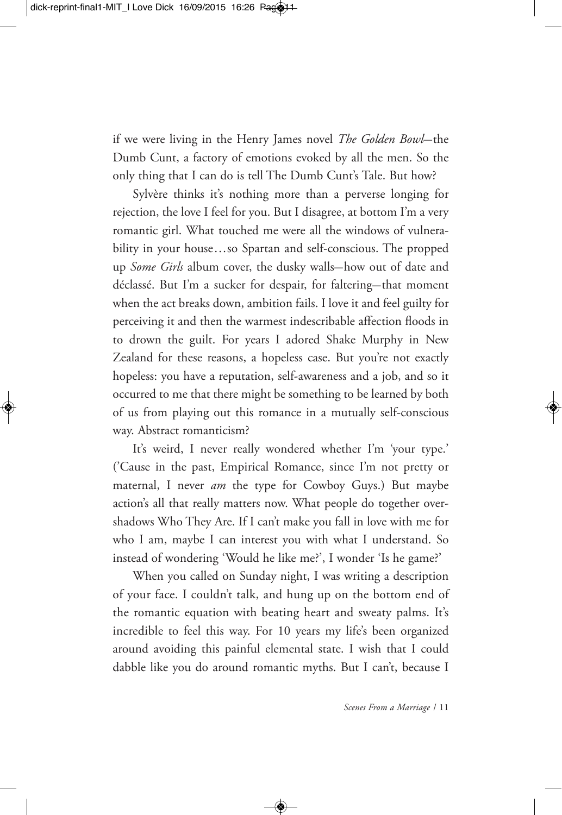if we were living in the Henry James novel *The Golden Bowl*—the Dumb Cunt, a factory of emotions evoked by all the men. So the only thing that I can do is tell The Dumb Cunt's Tale. But how?

Sylvère thinks it's nothing more than a perverse longing for rejection, the love I feel for you. But I disagree, at bottom I'm a very romantic girl. What touched me were all the windows of vulnerability in your house…so Spartan and self-conscious. The propped up *Some Girls* album cover, the dusky walls—how out of date and déclassé. But I'm a sucker for despair, for faltering—that moment when the act breaks down, ambition fails. I love it and feel guilty for perceiving it and then the warmest indescribable affection floods in to drown the guilt. For years I adored Shake Murphy in New Zealand for these reasons, a hopeless case. But you're not exactly hopeless: you have a reputation, self-awareness and a job, and so it occurred to me that there might be something to be learned by both of us from playing out this romance in a mutually self-conscious way. Abstract romanticism?

It's weird, I never really wondered whether I'm 'your type.' ('Cause in the past, Empirical Romance, since I'm not pretty or maternal, I never *am* the type for Cowboy Guys.) But maybe action's all that really matters now. What people do together overshadows Who They Are. If I can't make you fall in love with me for who I am, maybe I can interest you with what I understand. So instead of wondering 'Would he like me?', I wonder 'Is he game?'

When you called on Sunday night, I was writing a description of your face. I couldn't talk, and hung up on the bottom end of the romantic equation with beating heart and sweaty palms. It's incredible to feel this way. For 10 years my life's been organized around avoiding this painful elemental state. I wish that I could dabble like you do around romantic myths. But I can't, because I